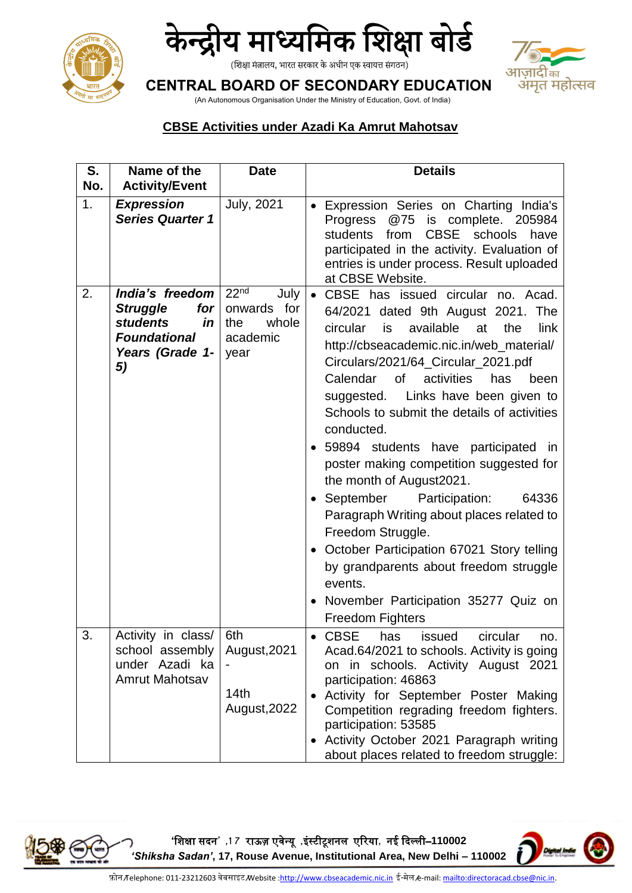



### आज़ादीक अमृत महोत्सव

**CENTRAL BOARD OF SECONDARY EDUCATION**

(An Autonomous Organisation Under the Ministry of Education, Govt. of India)

#### **CBSE Activities under Azadi Ka Amrut Mahotsav**

| S.<br>No. | Name of the<br><b>Activity/Event</b>                                                                               | <b>Date</b>                                                                   | <b>Details</b>                                                                                                                                                                                                                                                                                                                                                                                                                                                                                                                                                                                                                                                                                                                                                                |  |
|-----------|--------------------------------------------------------------------------------------------------------------------|-------------------------------------------------------------------------------|-------------------------------------------------------------------------------------------------------------------------------------------------------------------------------------------------------------------------------------------------------------------------------------------------------------------------------------------------------------------------------------------------------------------------------------------------------------------------------------------------------------------------------------------------------------------------------------------------------------------------------------------------------------------------------------------------------------------------------------------------------------------------------|--|
| 1.        | <b>Expression</b><br><b>Series Quarter 1</b>                                                                       | <b>July, 2021</b>                                                             | • Expression Series on Charting India's<br>@75 is complete. 205984<br>Progress<br><b>CBSE</b><br>students<br>schools<br>from<br>have<br>participated in the activity. Evaluation of<br>entries is under process. Result uploaded<br>at CBSE Website.                                                                                                                                                                                                                                                                                                                                                                                                                                                                                                                          |  |
| 2.        | India's freedom<br>for<br><b>Struggle</b><br><b>students</b><br>in<br><b>Foundational</b><br>Years (Grade 1-<br>5) | 22 <sup>nd</sup><br>July  <br>onwards for<br>the<br>whole<br>academic<br>year | • CBSE has issued circular no. Acad.<br>64/2021 dated 9th August 2021. The<br>circular<br>is<br>available<br>the<br>link<br>at<br>http://cbseacademic.nic.in/web_material/<br>Circulars/2021/64_Circular_2021.pdf<br>Calendar<br>of<br>activities<br>has<br>been<br>suggested. Links have been given to<br>Schools to submit the details of activities<br>conducted.<br>• 59894 students have participated in<br>poster making competition suggested for<br>the month of August2021.<br>September Participation:<br>64336<br>Paragraph Writing about places related to<br>Freedom Struggle.<br>October Participation 67021 Story telling<br>$\bullet$<br>by grandparents about freedom struggle<br>events.<br>November Participation 35277 Quiz on<br><b>Freedom Fighters</b> |  |
| 3         | Activity in class/<br>school assembly<br>under Azadi ka<br><b>Amrut Mahotsav</b>                                   | 6th<br>August, 2021<br>14th<br>August, 2022                                   | $\bullet$ CBSE<br>has<br>circular<br>issued<br>no.<br>Acad.64/2021 to schools. Activity is going<br>on in schools. Activity August 2021<br>participation: 46863<br>Activity for September Poster Making<br>Competition regrading freedom fighters.<br>participation: 53585<br>• Activity October 2021 Paragraph writing<br>about places related to freedom struggle:                                                                                                                                                                                                                                                                                                                                                                                                          |  |

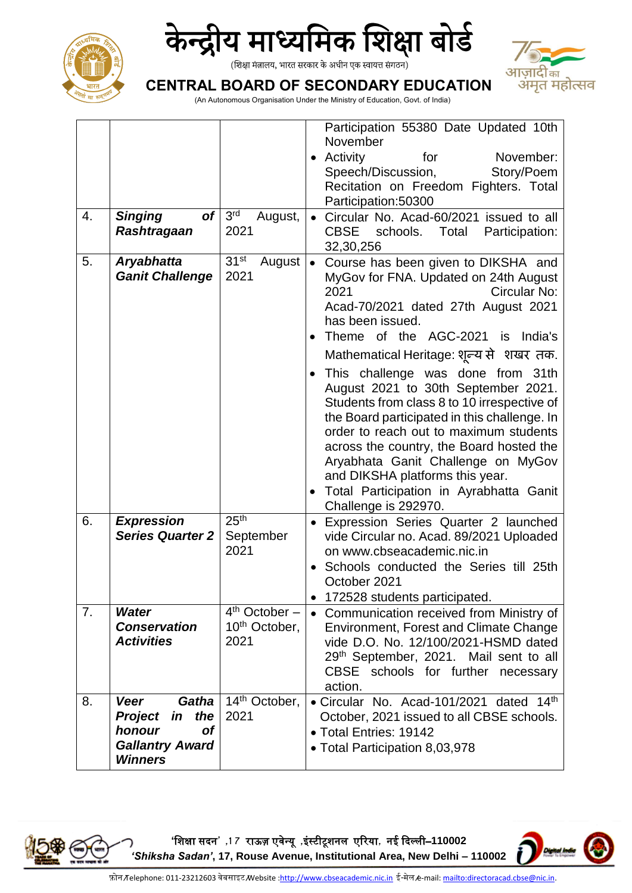



## आज़ादीक अमृत महोत्सव

**CENTRAL BOARD OF SECONDARY EDUCATION**

(An Autonomous Organisation Under the Ministry of Education, Govt. of India)

| 4. | <b>of</b><br><b>Singing</b><br><b>Rashtragaan</b>                                                               | 3 <sup>rd</sup><br>August,<br>2021                   | Participation 55380 Date Updated 10th<br>November<br>• Activity<br>for<br>November:<br>Speech/Discussion,<br>Story/Poem<br>Recitation on Freedom Fighters. Total<br>Participation:50300<br>Circular No. Acad-60/2021 issued to all<br>$\bullet$<br><b>CBSE</b><br>schools.<br>Participation:<br>Total<br>32,30,256                                                                                                                                                                                                                                                                                                                                                       |  |
|----|-----------------------------------------------------------------------------------------------------------------|------------------------------------------------------|--------------------------------------------------------------------------------------------------------------------------------------------------------------------------------------------------------------------------------------------------------------------------------------------------------------------------------------------------------------------------------------------------------------------------------------------------------------------------------------------------------------------------------------------------------------------------------------------------------------------------------------------------------------------------|--|
| 5. | <b>Aryabhatta</b><br><b>Ganit Challenge</b>                                                                     | 31 <sup>st</sup><br>August<br>2021                   | Course has been given to DIKSHA and<br>$\bullet$<br>MyGov for FNA. Updated on 24th August<br>Circular No:<br>2021<br>Acad-70/2021 dated 27th August 2021<br>has been issued.<br>Theme of the AGC-2021 is India's<br>Mathematical Heritage: शून्य से शखर तक.<br>This challenge was done from 31th<br>August 2021 to 30th September 2021.<br>Students from class 8 to 10 irrespective of<br>the Board participated in this challenge. In<br>order to reach out to maximum students<br>across the country, the Board hosted the<br>Aryabhata Ganit Challenge on MyGov<br>and DIKSHA platforms this year.<br>Total Participation in Ayrabhatta Ganit<br>Challenge is 292970. |  |
| 6. | <b>Expression</b><br><b>Series Quarter 2</b>                                                                    | 25 <sup>th</sup><br>September<br>2021                | Expression Series Quarter 2 launched<br>$\bullet$<br>vide Circular no. Acad. 89/2021 Uploaded<br>on www.cbseacademic.nic.in<br>Schools conducted the Series till 25th<br>October 2021<br>172528 students participated.                                                                                                                                                                                                                                                                                                                                                                                                                                                   |  |
| 7. | <b>Water</b><br><b>Conservation</b><br><b>Activities</b>                                                        | $4th October -$<br>10 <sup>th</sup> October,<br>2021 | • Communication received from Ministry of<br>Environment, Forest and Climate Change<br>vide D.O. No. 12/100/2021-HSMD dated<br>29th September, 2021. Mail sent to all<br>CBSE schools for further<br>necessary<br>action.                                                                                                                                                                                                                                                                                                                                                                                                                                                |  |
| 8. | <b>Veer</b><br>Gatha<br><b>Project</b><br>the<br>in<br>honour<br>Οf<br><b>Gallantry Award</b><br><b>Winners</b> | 14 <sup>th</sup> October,<br>2021                    | • Circular No. Acad-101/2021 dated 14th<br>October, 2021 issued to all CBSE schools.<br>• Total Entries: 19142<br>• Total Participation 8,03,978                                                                                                                                                                                                                                                                                                                                                                                                                                                                                                                         |  |

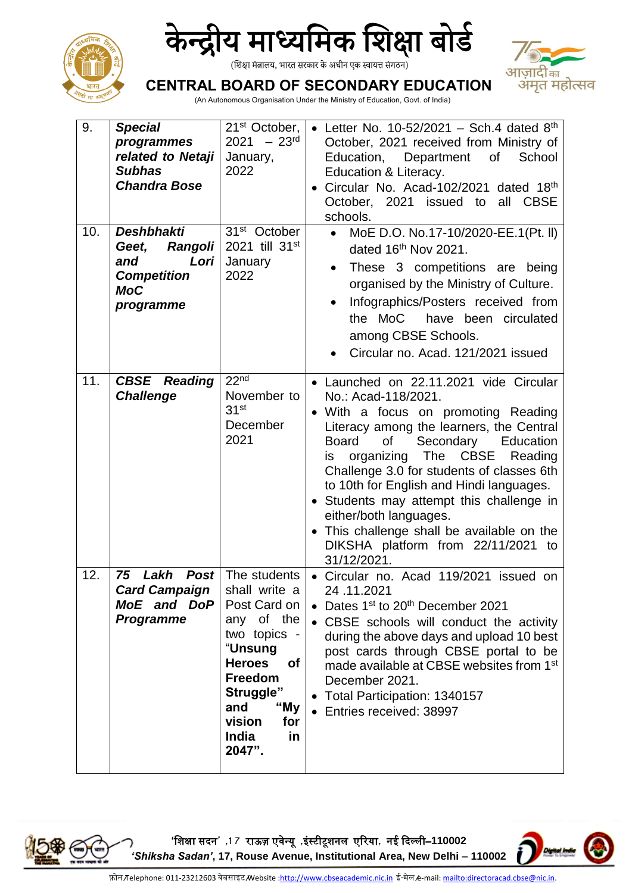



# आज़ादीक अमृत महोत्सव

**CENTRAL BOARD OF SECONDARY EDUCATION**

(An Autonomous Organisation Under the Ministry of Education, Govt. of India)

| 9.<br>10. | <b>Special</b><br>programmes<br>related to Netaji<br><b>Subhas</b><br><b>Chandra Bose</b><br><b>Deshbhakti</b><br><b>Rangoli</b><br>Geet,<br>Lori<br>and<br><b>Competition</b><br><b>MoC</b><br>programme | 21 <sup>st</sup> October,<br>$2021 - 23$ <sup>rd</sup><br>January,<br>2022<br>31 <sup>st</sup> October<br>2021 till 31st<br>January<br>2022                                                                  | • Letter No. 10-52/2021 – Sch.4 dated $8th$<br>October, 2021 received from Ministry of<br>Education, Department<br>of the contract of the contract of the contract of the contract of the contract of the contract of the contract<br>School<br>Education & Literacy.<br>Circular No. Acad-102/2021 dated 18th<br>$\bullet$<br>October, 2021 issued to<br>all CBSE<br>schools.<br>MoE D.O. No.17-10/2020-EE.1(Pt. II)<br>dated 16 <sup>th</sup> Nov 2021.<br>These 3 competitions are being<br>organised by the Ministry of Culture.<br>Infographics/Posters received from<br>$\bullet$<br>the MoC have been circulated<br>among CBSE Schools.<br>Circular no. Acad. 121/2021 issued |
|-----------|-----------------------------------------------------------------------------------------------------------------------------------------------------------------------------------------------------------|--------------------------------------------------------------------------------------------------------------------------------------------------------------------------------------------------------------|--------------------------------------------------------------------------------------------------------------------------------------------------------------------------------------------------------------------------------------------------------------------------------------------------------------------------------------------------------------------------------------------------------------------------------------------------------------------------------------------------------------------------------------------------------------------------------------------------------------------------------------------------------------------------------------|
| 11.       | <b>CBSE</b> Reading<br><b>Challenge</b>                                                                                                                                                                   | 22 <sup>nd</sup><br>November to<br>31 <sup>st</sup><br>December<br>2021                                                                                                                                      | • Launched on 22.11.2021 vide Circular<br>No.: Acad-118/2021.<br>With a focus on promoting Reading<br>Literacy among the learners, the Central<br><b>Board</b><br>Secondary<br>of<br>Education<br>organizing The CBSE Reading<br>is.<br>Challenge 3.0 for students of classes 6th<br>to 10th for English and Hindi languages.<br>Students may attempt this challenge in<br>$\bullet$<br>either/both languages.<br>This challenge shall be available on the<br>$\bullet$<br>DIKSHA platform from 22/11/2021 to<br>31/12/2021.                                                                                                                                                         |
| 12.       | 75<br>Lakh<br><b>Post</b><br><b>Card Campaign</b><br>MoE and DoP<br><b>Programme</b>                                                                                                                      | The students<br>shall write a<br>Post Card on<br>any of the<br>two topics -<br><b>"Unsung</b><br><b>Heroes</b><br>of<br>Freedom<br>Struggle"<br>and<br>"My<br>vision<br>for<br><b>India</b><br>in.<br>2047". | Circular no. Acad 119/2021 issued on<br>24.11.2021<br>Dates 1 <sup>st</sup> to 20 <sup>th</sup> December 2021<br>$\bullet$<br>• CBSE schools will conduct the activity<br>during the above days and upload 10 best<br>post cards through CBSE portal to be<br>made available at CBSE websites from 1 <sup>st</sup><br>December 2021.<br>Total Participation: 1340157<br>$\bullet$<br>Entries received: 38997                                                                                                                                                                                                                                                                         |